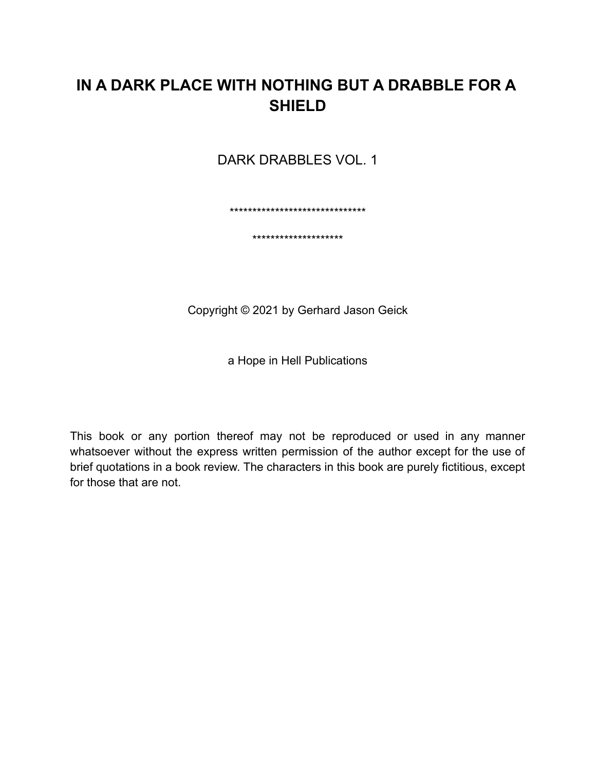# **IN A DARK PLACE WITH NOTHING BUT A DRABBLE FOR A SHIELD**

DARK DRABBLES VOL. 1

\*\*\*\*\*\*\*\*\*\*\*\*\*\*\*\*\*\*\*\*\*\*\*\*\*\*\*\*\*\*

\*\*\*\*\*\*\*\*\*\*\*\*\*\*\*\*\*\*\*\*

Copyright © 2021 by Gerhard Jason Geick

a Hope in Hell Publications

This book or any portion thereof may not be reproduced or used in any manner whatsoever without the express written permission of the author except for the use of brief quotations in a book review. The characters in this book are purely fictitious, except for those that are not.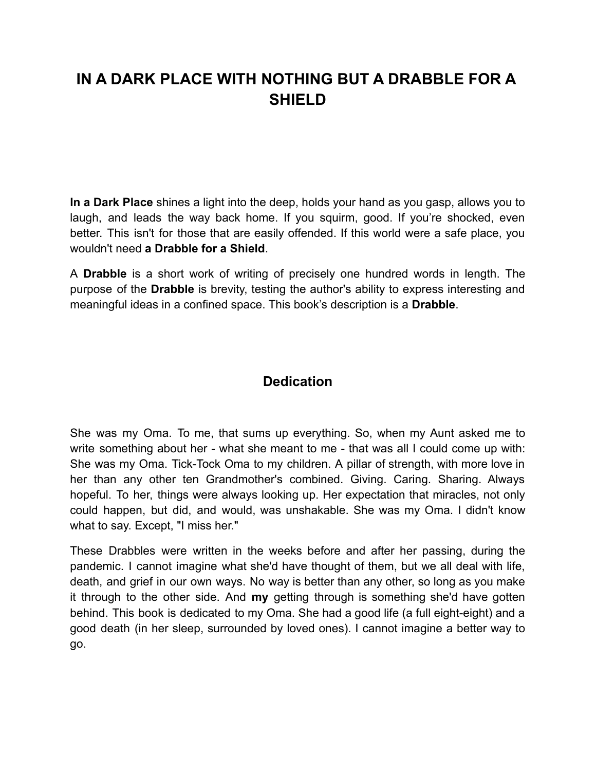# **IN A DARK PLACE WITH NOTHING BUT A DRABBLE FOR A SHIELD**

**In a Dark Place** shines a light into the deep, holds your hand as you gasp, allows you to laugh, and leads the way back home. If you squirm, good. If you're shocked, even better. This isn't for those that are easily offended. If this world were a safe place, you wouldn't need **a Drabble for a Shield**.

A **Drabble** is a short work of writing of precisely one hundred words in length. The purpose of the **Drabble** is brevity, testing the author's ability to express interesting and meaningful ideas in a confined space. This book's description is a **Drabble**.

### **Dedication**

She was my Oma. To me, that sums up everything. So, when my Aunt asked me to write something about her - what she meant to me - that was all I could come up with: She was my Oma. Tick-Tock Oma to my children. A pillar of strength, with more love in her than any other ten Grandmother's combined. Giving. Caring. Sharing. Always hopeful. To her, things were always looking up. Her expectation that miracles, not only could happen, but did, and would, was unshakable. She was my Oma. I didn't know what to say. Except, "I miss her."

These Drabbles were written in the weeks before and after her passing, during the pandemic. I cannot imagine what she'd have thought of them, but we all deal with life, death, and grief in our own ways. No way is better than any other, so long as you make it through to the other side. And **my** getting through is something she'd have gotten behind. This book is dedicated to my Oma. She had a good life (a full eight-eight) and a good death (in her sleep, surrounded by loved ones). I cannot imagine a better way to go.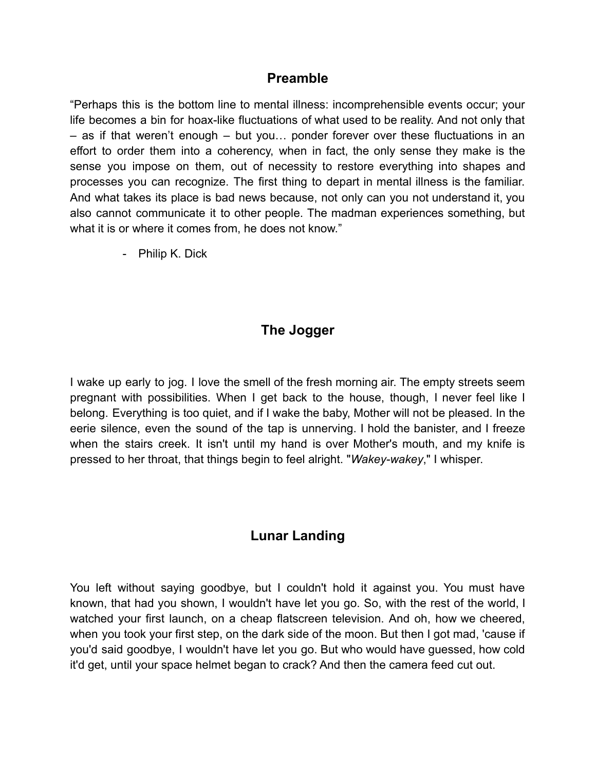#### **Preamble**

"Perhaps this is the bottom line to mental illness: incomprehensible events occur; your life becomes a bin for hoax-like fluctuations of what used to be reality. And not only that – as if that weren't enough – but you… ponder forever over these fluctuations in an effort to order them into a coherency, when in fact, the only sense they make is the sense you impose on them, out of necessity to restore everything into shapes and processes you can recognize. The first thing to depart in mental illness is the familiar. And what takes its place is bad news because, not only can you not understand it, you also cannot communicate it to other people. The madman experiences something, but what it is or where it comes from, he does not know."

- Philip K. Dick

### **The Jogger**

I wake up early to jog. I love the smell of the fresh morning air. The empty streets seem pregnant with possibilities. When I get back to the house, though, I never feel like I belong. Everything is too quiet, and if I wake the baby, Mother will not be pleased. In the eerie silence, even the sound of the tap is unnerving. I hold the banister, and I freeze when the stairs creek. It isn't until my hand is over Mother's mouth, and my knife is pressed to her throat, that things begin to feel alright. "*Wakey-wakey*," I whisper.

## **Lunar Landing**

You left without saying goodbye, but I couldn't hold it against you. You must have known, that had you shown, I wouldn't have let you go. So, with the rest of the world, I watched your first launch, on a cheap flatscreen television. And oh, how we cheered, when you took your first step, on the dark side of the moon. But then I got mad, 'cause if you'd said goodbye, I wouldn't have let you go. But who would have guessed, how cold it'd get, until your space helmet began to crack? And then the camera feed cut out.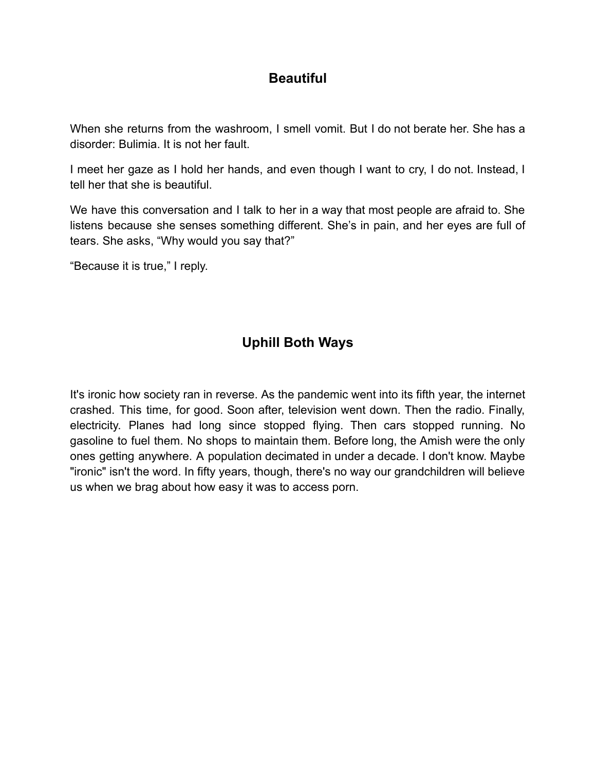#### **Beautiful**

When she returns from the washroom, I smell vomit. But I do not berate her. She has a disorder: Bulimia. It is not her fault.

I meet her gaze as I hold her hands, and even though I want to cry, I do not. Instead, I tell her that she is beautiful.

We have this conversation and I talk to her in a way that most people are afraid to. She listens because she senses something different. She's in pain, and her eyes are full of tears. She asks, "Why would you say that?"

"Because it is true," I reply.

# **Uphill Both Ways**

It's ironic how society ran in reverse. As the pandemic went into its fifth year, the internet crashed. This time, for good. Soon after, television went down. Then the radio. Finally, electricity. Planes had long since stopped flying. Then cars stopped running. No gasoline to fuel them. No shops to maintain them. Before long, the Amish were the only ones getting anywhere. A population decimated in under a decade. I don't know. Maybe "ironic" isn't the word. In fifty years, though, there's no way our grandchildren will believe us when we brag about how easy it was to access porn.